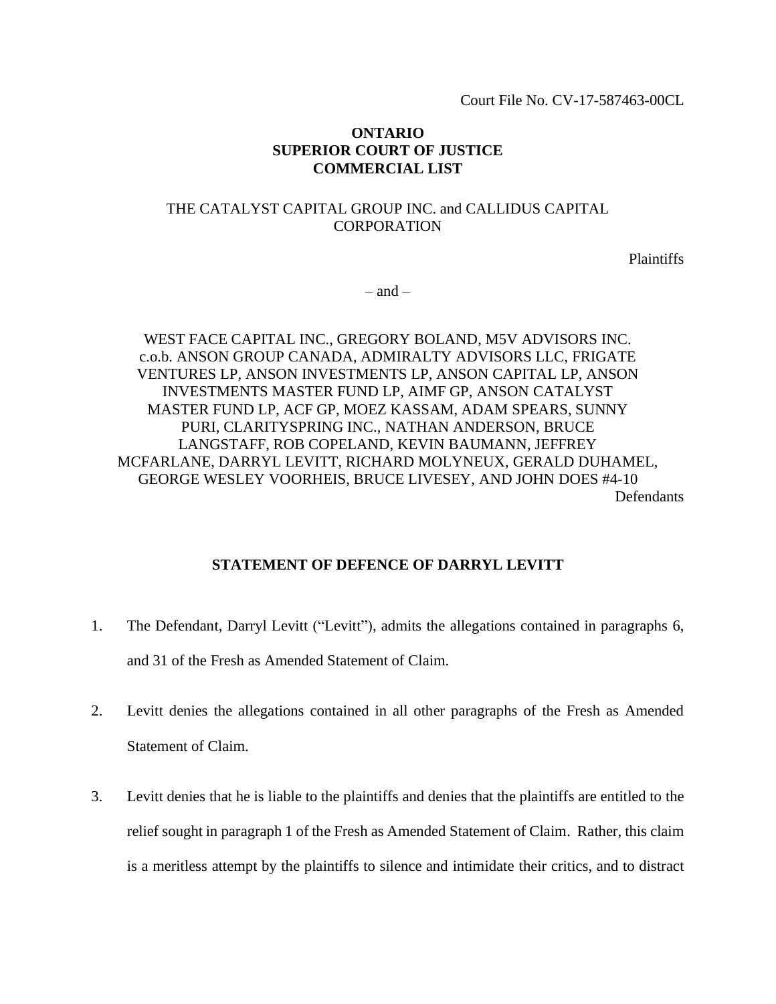Court File No. CV-17-587463-00CL

## **ONTARIO SUPERIOR COURT OF JUSTICE COMMERCIAL LIST**

# THE CATALYST CAPITAL GROUP INC. and CALLIDUS CAPITAL **CORPORATION**

**Plaintiffs** 

 $-$  and  $-$ 

WEST FACE CAPITAL INC., GREGORY BOLAND, M5V ADVISORS INC. c.o.b. ANSON GROUP CANADA, ADMIRALTY ADVISORS LLC, FRIGATE VENTURES LP, ANSON INVESTMENTS LP, ANSON CAPITAL LP, ANSON INVESTMENTS MASTER FUND LP, AIMF GP, ANSON CATALYST MASTER FUND LP, ACF GP, MOEZ KASSAM, ADAM SPEARS, SUNNY PURI, CLARITYSPRING INC., NATHAN ANDERSON, BRUCE LANGSTAFF, ROB COPELAND, KEVIN BAUMANN, JEFFREY MCFARLANE, DARRYL LEVITT, RICHARD MOLYNEUX, GERALD DUHAMEL, GEORGE WESLEY VOORHEIS, BRUCE LIVESEY, AND JOHN DOES #4-10 Defendants

## **STATEMENT OF DEFENCE OF DARRYL LEVITT**

- 1. The Defendant, Darryl Levitt ("Levitt"), admits the allegations contained in paragraphs 6, and 31 of the Fresh as Amended Statement of Claim.
- 2. Levitt denies the allegations contained in all other paragraphs of the Fresh as Amended Statement of Claim.
- 3. Levitt denies that he is liable to the plaintiffs and denies that the plaintiffs are entitled to the relief sought in paragraph 1 of the Fresh as Amended Statement of Claim. Rather, this claim is a meritless attempt by the plaintiffs to silence and intimidate their critics, and to distract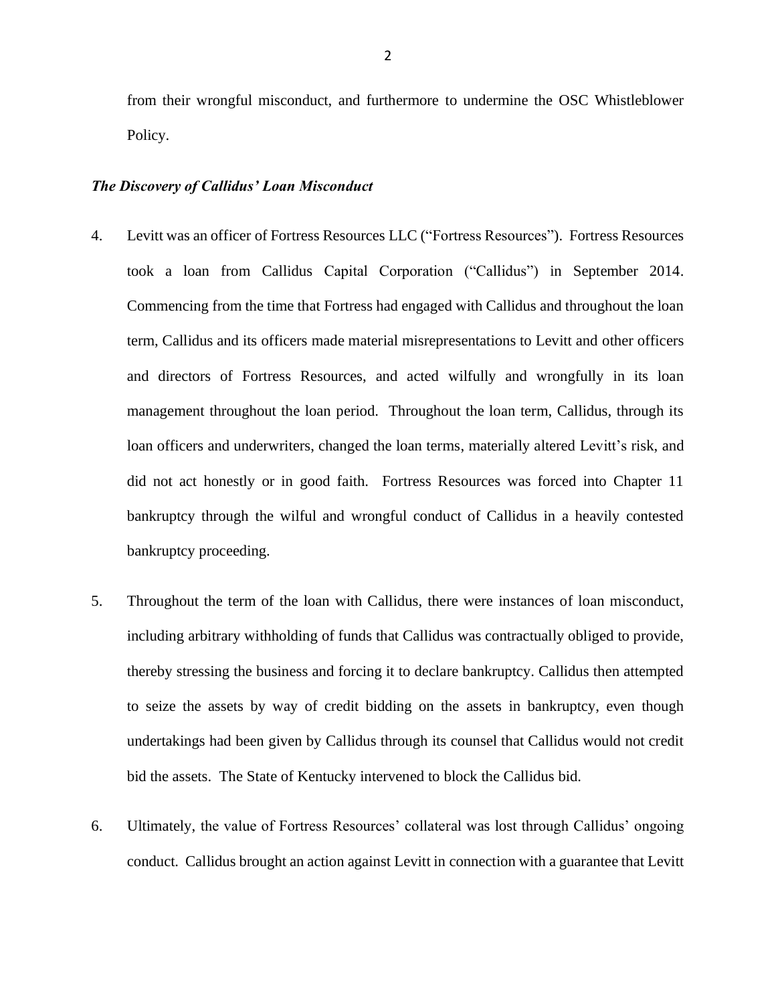from their wrongful misconduct, and furthermore to undermine the OSC Whistleblower Policy.

#### *The Discovery of Callidus' Loan Misconduct*

- 4. Levitt was an officer of Fortress Resources LLC ("Fortress Resources"). Fortress Resources took a loan from Callidus Capital Corporation ("Callidus") in September 2014. Commencing from the time that Fortress had engaged with Callidus and throughout the loan term, Callidus and its officers made material misrepresentations to Levitt and other officers and directors of Fortress Resources, and acted wilfully and wrongfully in its loan management throughout the loan period. Throughout the loan term, Callidus, through its loan officers and underwriters, changed the loan terms, materially altered Levitt's risk, and did not act honestly or in good faith. Fortress Resources was forced into Chapter 11 bankruptcy through the wilful and wrongful conduct of Callidus in a heavily contested bankruptcy proceeding.
- 5. Throughout the term of the loan with Callidus, there were instances of loan misconduct, including arbitrary withholding of funds that Callidus was contractually obliged to provide, thereby stressing the business and forcing it to declare bankruptcy. Callidus then attempted to seize the assets by way of credit bidding on the assets in bankruptcy, even though undertakings had been given by Callidus through its counsel that Callidus would not credit bid the assets. The State of Kentucky intervened to block the Callidus bid.
- 6. Ultimately, the value of Fortress Resources' collateral was lost through Callidus' ongoing conduct. Callidus brought an action against Levitt in connection with a guarantee that Levitt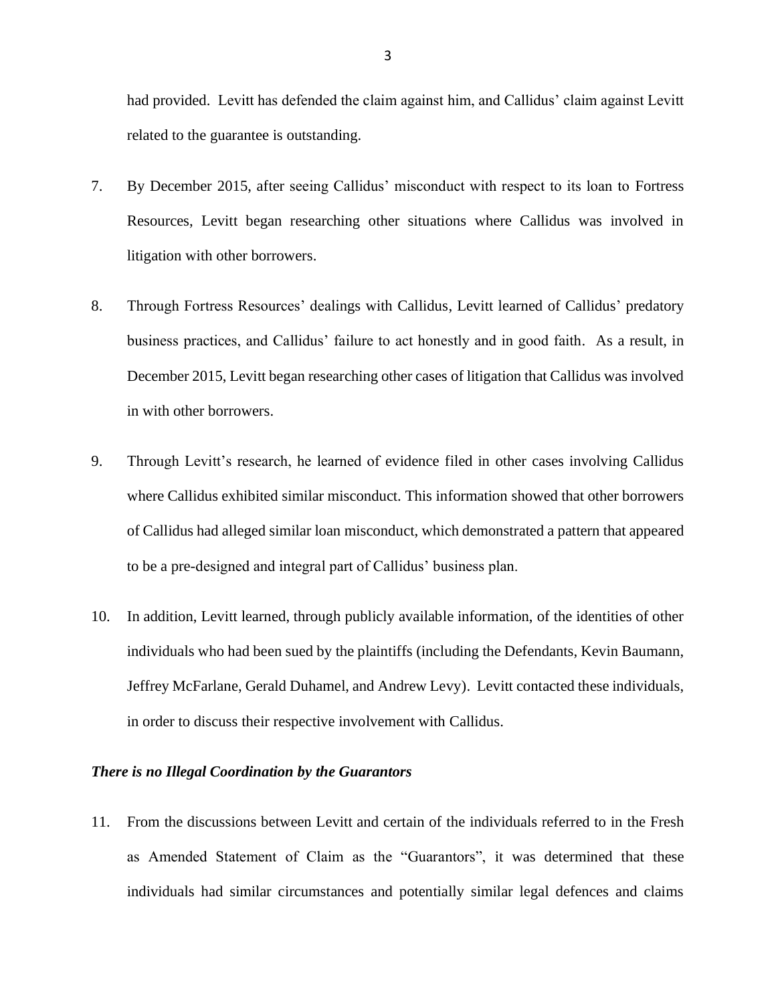had provided. Levitt has defended the claim against him, and Callidus' claim against Levitt related to the guarantee is outstanding.

- 7. By December 2015, after seeing Callidus' misconduct with respect to its loan to Fortress Resources, Levitt began researching other situations where Callidus was involved in litigation with other borrowers.
- 8. Through Fortress Resources' dealings with Callidus, Levitt learned of Callidus' predatory business practices, and Callidus' failure to act honestly and in good faith. As a result, in December 2015, Levitt began researching other cases of litigation that Callidus was involved in with other borrowers.
- 9. Through Levitt's research, he learned of evidence filed in other cases involving Callidus where Callidus exhibited similar misconduct. This information showed that other borrowers of Callidus had alleged similar loan misconduct, which demonstrated a pattern that appeared to be a pre-designed and integral part of Callidus' business plan.
- 10. In addition, Levitt learned, through publicly available information, of the identities of other individuals who had been sued by the plaintiffs (including the Defendants, Kevin Baumann, Jeffrey McFarlane, Gerald Duhamel, and Andrew Levy). Levitt contacted these individuals, in order to discuss their respective involvement with Callidus.

### *There is no Illegal Coordination by the Guarantors*

11. From the discussions between Levitt and certain of the individuals referred to in the Fresh as Amended Statement of Claim as the "Guarantors", it was determined that these individuals had similar circumstances and potentially similar legal defences and claims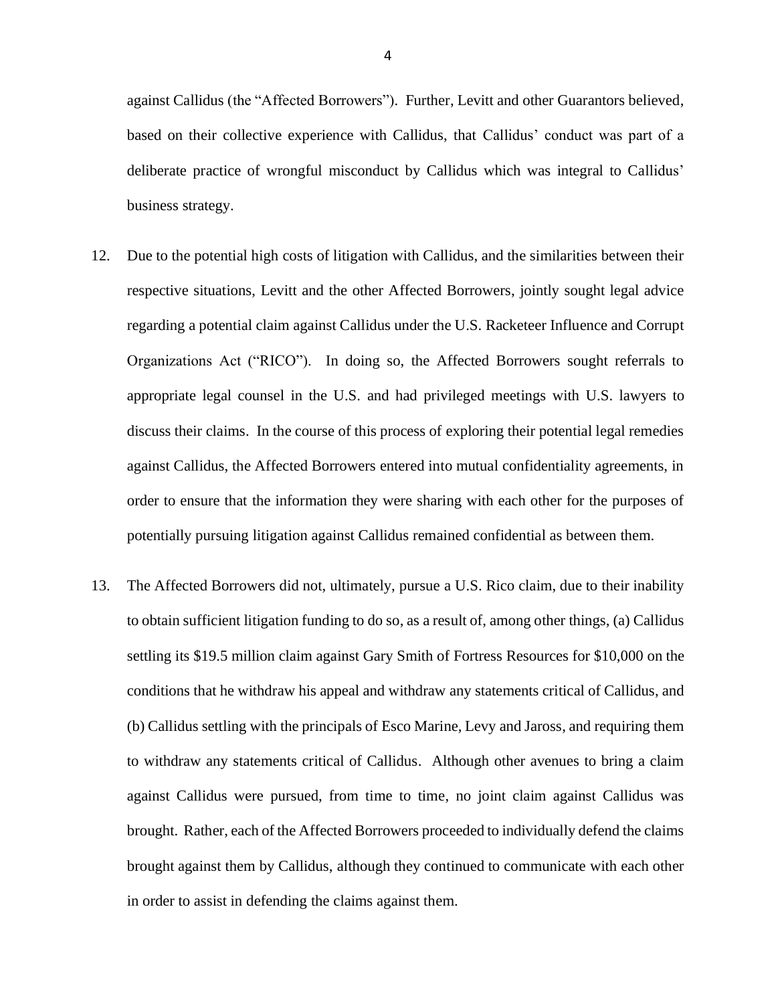against Callidus (the "Affected Borrowers"). Further, Levitt and other Guarantors believed, based on their collective experience with Callidus, that Callidus' conduct was part of a deliberate practice of wrongful misconduct by Callidus which was integral to Callidus' business strategy.

- 12. Due to the potential high costs of litigation with Callidus, and the similarities between their respective situations, Levitt and the other Affected Borrowers, jointly sought legal advice regarding a potential claim against Callidus under the U.S. Racketeer Influence and Corrupt Organizations Act ("RICO"). In doing so, the Affected Borrowers sought referrals to appropriate legal counsel in the U.S. and had privileged meetings with U.S. lawyers to discuss their claims. In the course of this process of exploring their potential legal remedies against Callidus, the Affected Borrowers entered into mutual confidentiality agreements, in order to ensure that the information they were sharing with each other for the purposes of potentially pursuing litigation against Callidus remained confidential as between them.
- 13. The Affected Borrowers did not, ultimately, pursue a U.S. Rico claim, due to their inability to obtain sufficient litigation funding to do so, as a result of, among other things, (a) Callidus settling its \$19.5 million claim against Gary Smith of Fortress Resources for \$10,000 on the conditions that he withdraw his appeal and withdraw any statements critical of Callidus, and (b) Callidus settling with the principals of Esco Marine, Levy and Jaross, and requiring them to withdraw any statements critical of Callidus. Although other avenues to bring a claim against Callidus were pursued, from time to time, no joint claim against Callidus was brought. Rather, each of the Affected Borrowers proceeded to individually defend the claims brought against them by Callidus, although they continued to communicate with each other in order to assist in defending the claims against them.

4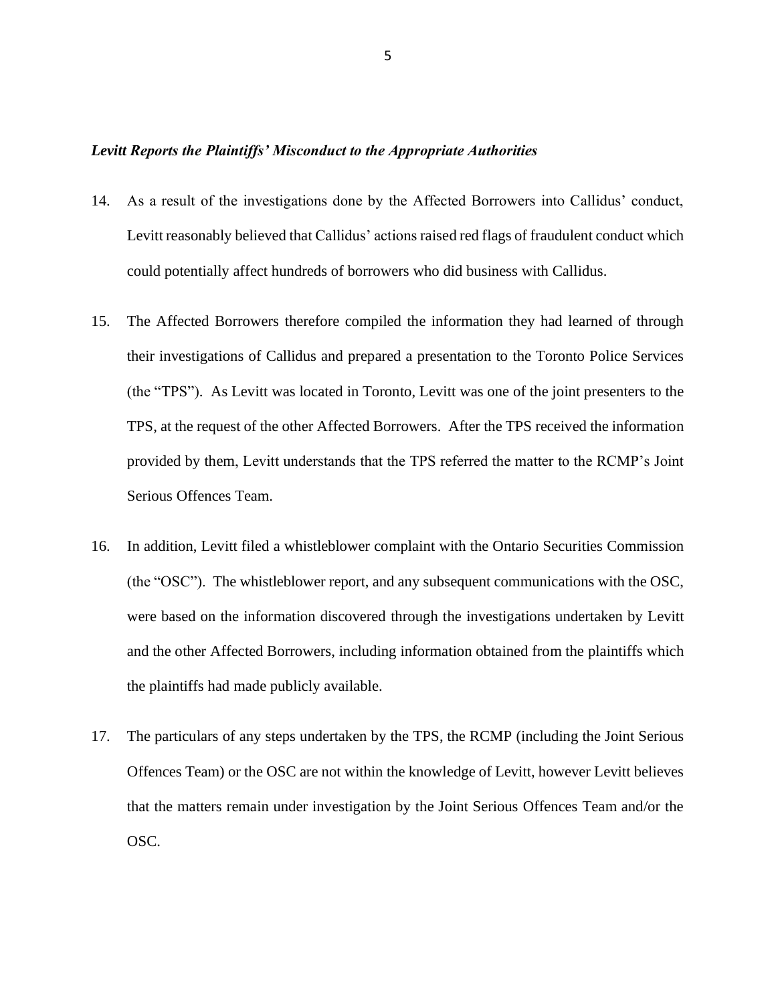### *Levitt Reports the Plaintiffs' Misconduct to the Appropriate Authorities*

- 14. As a result of the investigations done by the Affected Borrowers into Callidus' conduct, Levitt reasonably believed that Callidus' actions raised red flags of fraudulent conduct which could potentially affect hundreds of borrowers who did business with Callidus.
- 15. The Affected Borrowers therefore compiled the information they had learned of through their investigations of Callidus and prepared a presentation to the Toronto Police Services (the "TPS"). As Levitt was located in Toronto, Levitt was one of the joint presenters to the TPS, at the request of the other Affected Borrowers. After the TPS received the information provided by them, Levitt understands that the TPS referred the matter to the RCMP's Joint Serious Offences Team.
- 16. In addition, Levitt filed a whistleblower complaint with the Ontario Securities Commission (the "OSC"). The whistleblower report, and any subsequent communications with the OSC, were based on the information discovered through the investigations undertaken by Levitt and the other Affected Borrowers, including information obtained from the plaintiffs which the plaintiffs had made publicly available.
- 17. The particulars of any steps undertaken by the TPS, the RCMP (including the Joint Serious Offences Team) or the OSC are not within the knowledge of Levitt, however Levitt believes that the matters remain under investigation by the Joint Serious Offences Team and/or the OSC.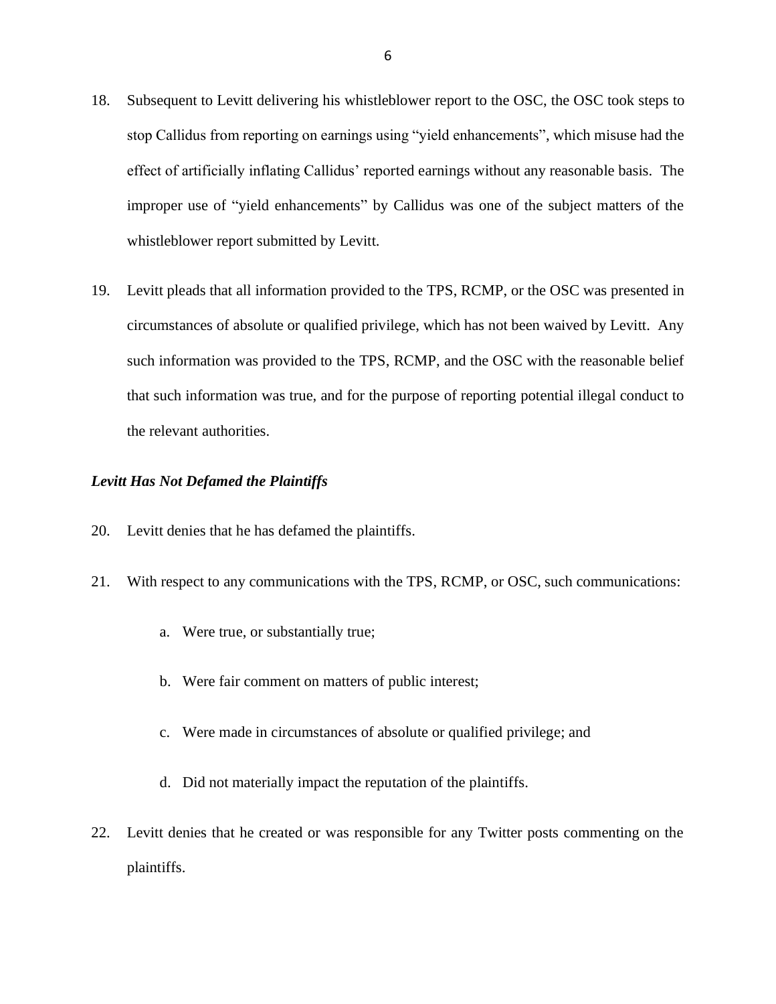- 18. Subsequent to Levitt delivering his whistleblower report to the OSC, the OSC took steps to stop Callidus from reporting on earnings using "yield enhancements", which misuse had the effect of artificially inflating Callidus' reported earnings without any reasonable basis. The improper use of "yield enhancements" by Callidus was one of the subject matters of the whistleblower report submitted by Levitt.
- 19. Levitt pleads that all information provided to the TPS, RCMP, or the OSC was presented in circumstances of absolute or qualified privilege, which has not been waived by Levitt. Any such information was provided to the TPS, RCMP, and the OSC with the reasonable belief that such information was true, and for the purpose of reporting potential illegal conduct to the relevant authorities.

### *Levitt Has Not Defamed the Plaintiffs*

- 20. Levitt denies that he has defamed the plaintiffs.
- 21. With respect to any communications with the TPS, RCMP, or OSC, such communications:
	- a. Were true, or substantially true;
	- b. Were fair comment on matters of public interest;
	- c. Were made in circumstances of absolute or qualified privilege; and
	- d. Did not materially impact the reputation of the plaintiffs.
- 22. Levitt denies that he created or was responsible for any Twitter posts commenting on the plaintiffs.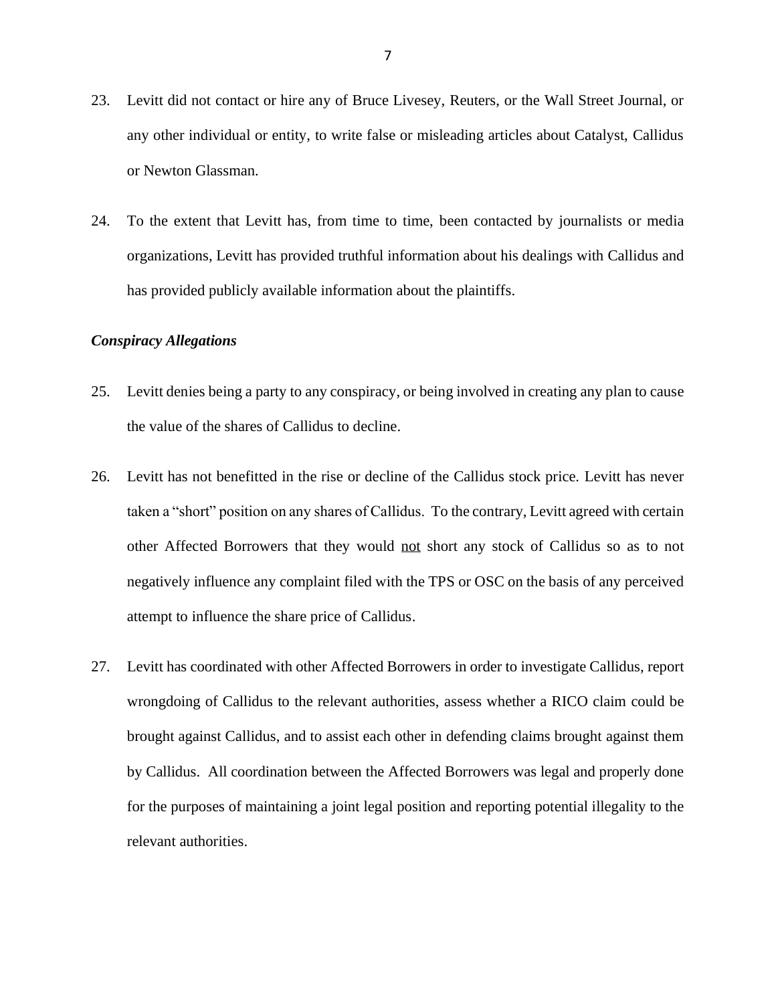- 23. Levitt did not contact or hire any of Bruce Livesey, Reuters, or the Wall Street Journal, or any other individual or entity, to write false or misleading articles about Catalyst, Callidus or Newton Glassman.
- 24. To the extent that Levitt has, from time to time, been contacted by journalists or media organizations, Levitt has provided truthful information about his dealings with Callidus and has provided publicly available information about the plaintiffs.

### *Conspiracy Allegations*

- 25. Levitt denies being a party to any conspiracy, or being involved in creating any plan to cause the value of the shares of Callidus to decline.
- 26. Levitt has not benefitted in the rise or decline of the Callidus stock price. Levitt has never taken a "short" position on any shares of Callidus. To the contrary, Levitt agreed with certain other Affected Borrowers that they would not short any stock of Callidus so as to not negatively influence any complaint filed with the TPS or OSC on the basis of any perceived attempt to influence the share price of Callidus.
- 27. Levitt has coordinated with other Affected Borrowers in order to investigate Callidus, report wrongdoing of Callidus to the relevant authorities, assess whether a RICO claim could be brought against Callidus, and to assist each other in defending claims brought against them by Callidus. All coordination between the Affected Borrowers was legal and properly done for the purposes of maintaining a joint legal position and reporting potential illegality to the relevant authorities.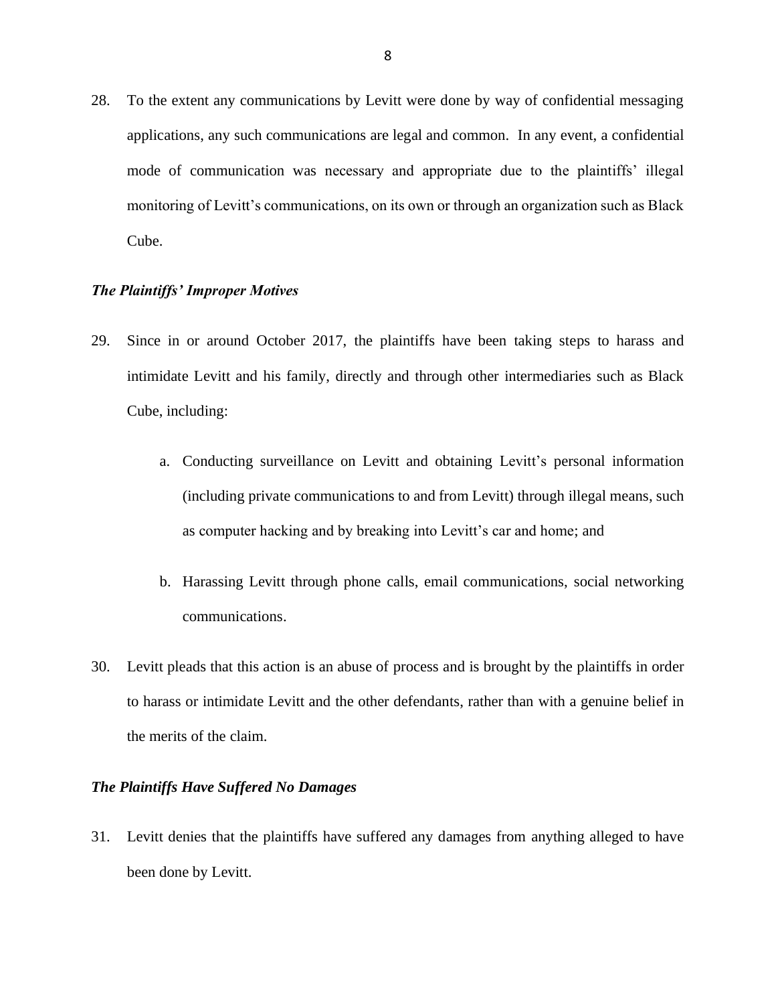28. To the extent any communications by Levitt were done by way of confidential messaging applications, any such communications are legal and common. In any event, a confidential mode of communication was necessary and appropriate due to the plaintiffs' illegal monitoring of Levitt's communications, on its own or through an organization such as Black Cube.

#### *The Plaintiffs' Improper Motives*

- 29. Since in or around October 2017, the plaintiffs have been taking steps to harass and intimidate Levitt and his family, directly and through other intermediaries such as Black Cube, including:
	- a. Conducting surveillance on Levitt and obtaining Levitt's personal information (including private communications to and from Levitt) through illegal means, such as computer hacking and by breaking into Levitt's car and home; and
	- b. Harassing Levitt through phone calls, email communications, social networking communications.
- 30. Levitt pleads that this action is an abuse of process and is brought by the plaintiffs in order to harass or intimidate Levitt and the other defendants, rather than with a genuine belief in the merits of the claim.

### *The Plaintiffs Have Suffered No Damages*

31. Levitt denies that the plaintiffs have suffered any damages from anything alleged to have been done by Levitt.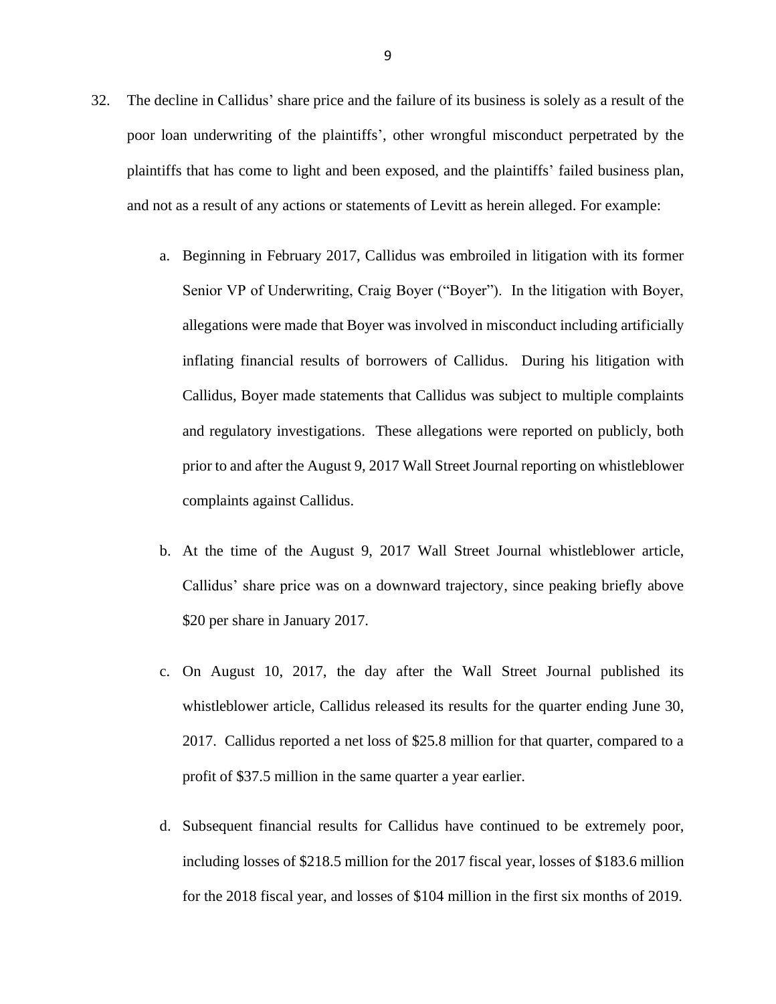- 32. The decline in Callidus' share price and the failure of its business is solely as a result of the poor loan underwriting of the plaintiffs', other wrongful misconduct perpetrated by the plaintiffs that has come to light and been exposed, and the plaintiffs' failed business plan, and not as a result of any actions or statements of Levitt as herein alleged. For example:
	- a. Beginning in February 2017, Callidus was embroiled in litigation with its former Senior VP of Underwriting, Craig Boyer ("Boyer"). In the litigation with Boyer, allegations were made that Boyer was involved in misconduct including artificially inflating financial results of borrowers of Callidus. During his litigation with Callidus, Boyer made statements that Callidus was subject to multiple complaints and regulatory investigations. These allegations were reported on publicly, both prior to and after the August 9, 2017 Wall Street Journal reporting on whistleblower complaints against Callidus.
	- b. At the time of the August 9, 2017 Wall Street Journal whistleblower article, Callidus' share price was on a downward trajectory, since peaking briefly above \$20 per share in January 2017.
	- c. On August 10, 2017, the day after the Wall Street Journal published its whistleblower article, Callidus released its results for the quarter ending June 30, 2017. Callidus reported a net loss of \$25.8 million for that quarter, compared to a profit of \$37.5 million in the same quarter a year earlier.
	- d. Subsequent financial results for Callidus have continued to be extremely poor, including losses of \$218.5 million for the 2017 fiscal year, losses of \$183.6 million for the 2018 fiscal year, and losses of \$104 million in the first six months of 2019.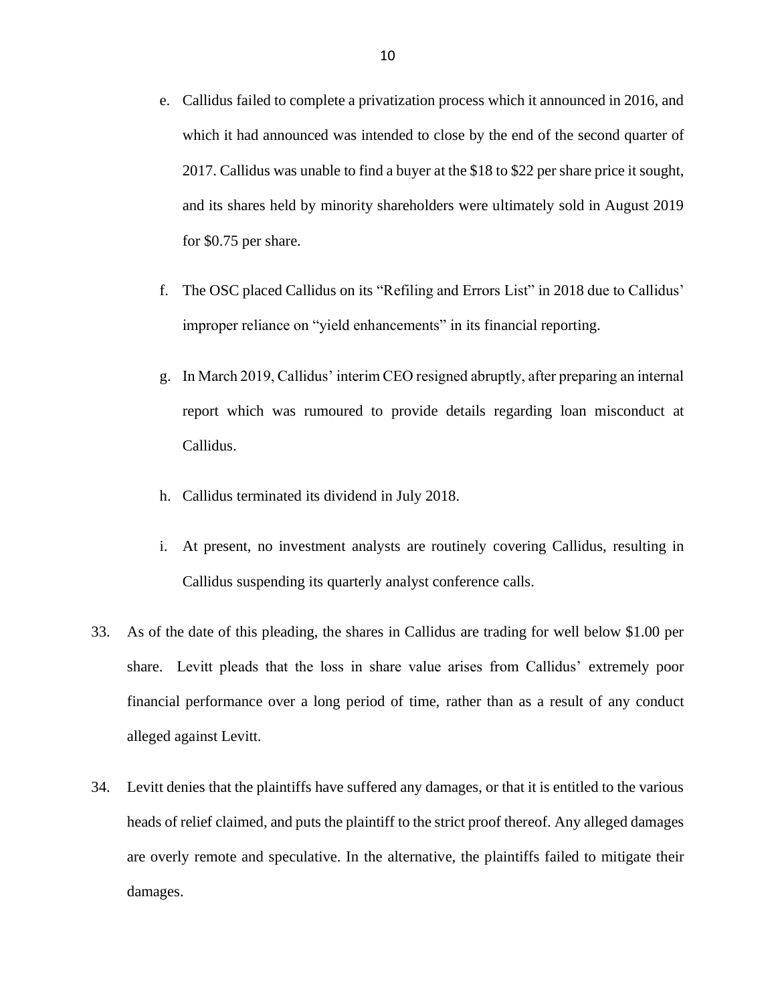- e. Callidus failed to complete a privatization process which it announced in 2016, and which it had announced was intended to close by the end of the second quarter of 2017. Callidus was unable to find a buyer at the \$18 to \$22 per share price it sought, and its shares held by minority shareholders were ultimately sold in August 2019 for \$0.75 per share.
- f. The OSC placed Callidus on its "Refiling and Errors List" in 2018 due to Callidus' improper reliance on "yield enhancements" in its financial reporting.
- g. In March 2019, Callidus' interim CEO resigned abruptly, after preparing an internal report which was rumoured to provide details regarding loan misconduct at Callidus.
- h. Callidus terminated its dividend in July 2018.
- i. At present, no investment analysts are routinely covering Callidus, resulting in Callidus suspending its quarterly analyst conference calls.
- 33. As of the date of this pleading, the shares in Callidus are trading for well below \$1.00 per share. Levitt pleads that the loss in share value arises from Callidus' extremely poor financial performance over a long period of time, rather than as a result of any conduct alleged against Levitt.
- 34. Levitt denies that the plaintiffs have suffered any damages, or that it is entitled to the various heads of relief claimed, and puts the plaintiff to the strict proof thereof. Any alleged damages are overly remote and speculative. In the alternative, the plaintiffs failed to mitigate their damages.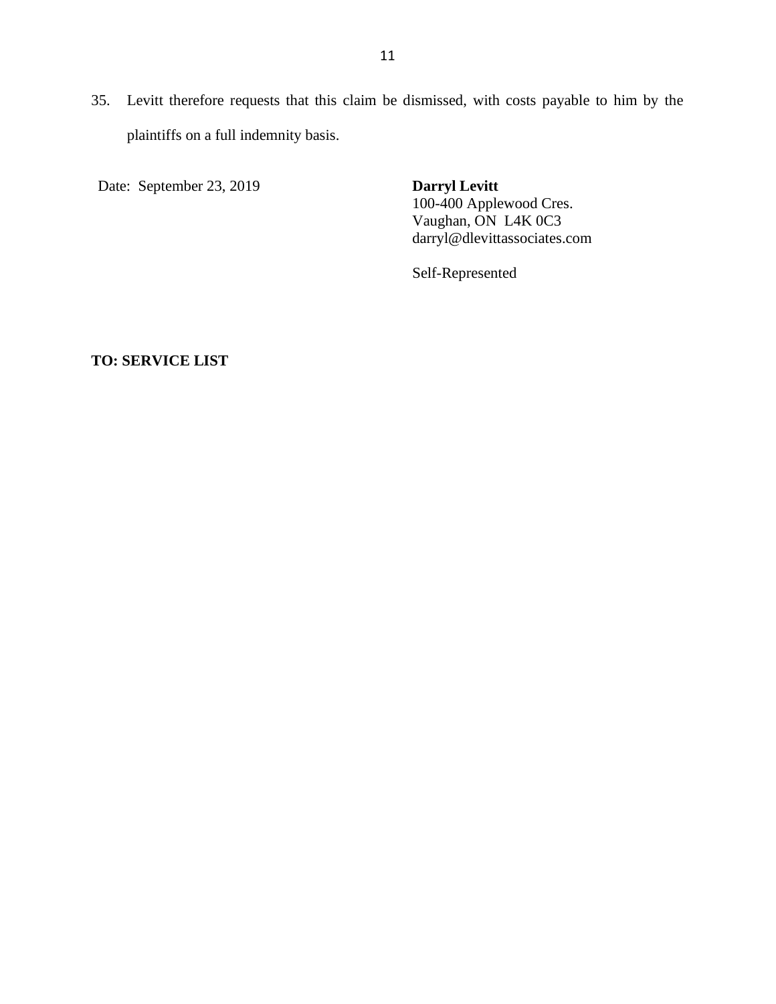35. Levitt therefore requests that this claim be dismissed, with costs payable to him by the plaintiffs on a full indemnity basis.

Date: September 23, 2019 **Darryl Levitt**

100-400 Applewood Cres. Vaughan, ON L4K 0C3 darryl@dlevittassociates.com

Self-Represented

**TO: SERVICE LIST**